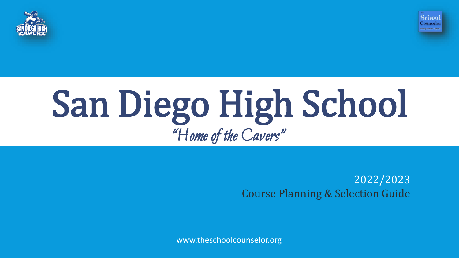



# San Diego High School "Home of the Cavers"

2022/2023 Course Planning & Selection Guide

www.theschoolcounselor.org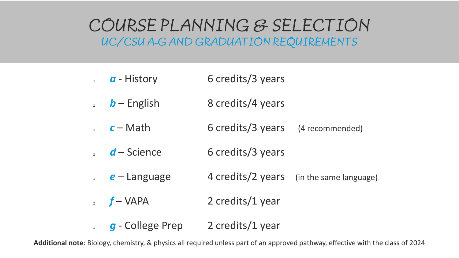## COURSE PLANNING & SELECTION UC/CSU A-G AND GRADUATION REQUIREMENTS

- **a a** History 6 credits/3 years
- **b** English 8 credits/4 years
- **c** Math 6 credits/3 years (4 recommended)
- d Science 6 credits/3 years
- $e -$  Language 4 credits/2 years (in the same language)
- **f** VAPA 2 credits/1 year
- **g** College Prep 2 credits/1 year

**Additional note**: Biology, chemistry, & physics all required unless part of an approved pathway, effective with the class of 2024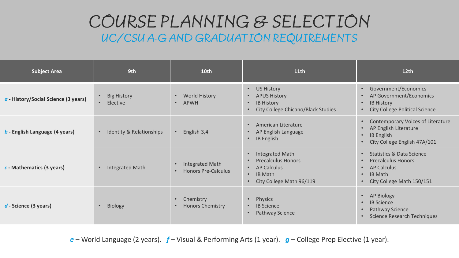## COURSE PLANNING & SELECTION UC/CSU A-G AND GRADUATION REQUIREMENTS

| <b>Subject Area</b>                         | 9th                                                      | 10 <sub>th</sub>                                                  | 11 <sub>th</sub>                                                                                                                                        | 12 <sub>th</sub>                                                                                                                                                                    |
|---------------------------------------------|----------------------------------------------------------|-------------------------------------------------------------------|---------------------------------------------------------------------------------------------------------------------------------------------------------|-------------------------------------------------------------------------------------------------------------------------------------------------------------------------------------|
| $\alpha$ - History/Social Science (3 years) | <b>Big History</b><br>$\bullet$<br>Elective<br>$\bullet$ | <b>World History</b><br>$\bullet$<br>APWH<br>$\bullet$            | <b>US History</b><br>$\bullet$<br><b>APUS History</b><br><b>IB History</b><br>City College Chicano/Black Studies                                        | Government/Economics<br>$\bullet$<br>AP Government/Economics<br><b>IB History</b><br>$\bullet$<br><b>City College Political Science</b><br>$\bullet$                                |
| $b$ - English Language (4 years)            | Identity & Relationships<br>$\bullet$                    | English 3,4                                                       | American Literature<br>$\bullet$<br>AP English Language<br><b>IB English</b><br>$\bullet$                                                               | Contemporary Voices of Literature<br>$\bullet$<br>AP English Literature<br>$\bullet$<br><b>IB English</b><br>$\bullet$<br>City College English 47A/101                              |
| $c$ - Mathematics (3 years)                 | <b>Integrated Math</b>                                   | <b>Integrated Math</b><br><b>Honors Pre-Calculus</b><br>$\bullet$ | <b>Integrated Math</b><br>$\bullet$<br><b>Precalculus Honors</b><br>AP Calculus<br>$\bullet$<br><b>IB Math</b><br>$\bullet$<br>City College Math 96/119 | <b>Statistics &amp; Data Science</b><br>$\bullet$<br><b>Precalculus Honors</b><br>$\bullet$<br>AP Calculus<br>$\bullet$<br><b>IB Math</b><br>$\bullet$<br>City College Math 150/151 |
| $d$ - Science (3 years)                     | Biology                                                  | Chemistry<br><b>Honors Chemistry</b><br>$\bullet$                 | Physics<br>$\bullet$<br><b>IB Science</b><br>$\bullet$<br>Pathway Science                                                                               | AP Biology<br>$\bullet$<br><b>IB Science</b><br>$\bullet$<br>Pathway Science<br>Science Research Techniques                                                                         |

*e* – World Language (2 years). *f* – Visual & Performing Arts (1 year). *g* – College Prep Elective (1 year).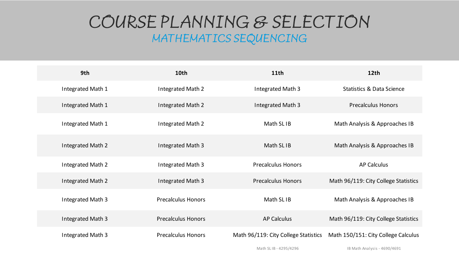## COURSE PLANNING & SELECTION MATHEMATICS SEQUENCING

| 9th               | 10th                      | 11 <sup>th</sup>                     | 12 <sub>th</sub>                     |
|-------------------|---------------------------|--------------------------------------|--------------------------------------|
| Integrated Math 1 | Integrated Math 2         | Integrated Math 3                    | <b>Statistics &amp; Data Science</b> |
| Integrated Math 1 | Integrated Math 2         | Integrated Math 3                    | <b>Precalculus Honors</b>            |
| Integrated Math 1 | Integrated Math 2         | Math SL IB                           | Math Analysis & Approaches IB        |
| Integrated Math 2 | Integrated Math 3         | Math SL <sub>IB</sub>                | Math Analysis & Approaches IB        |
| Integrated Math 2 | Integrated Math 3         | <b>Precalculus Honors</b>            | <b>AP Calculus</b>                   |
| Integrated Math 2 | Integrated Math 3         | <b>Precalculus Honors</b>            | Math 96/119: City College Statistics |
| Integrated Math 3 | <b>Precalculus Honors</b> | Math SL IB                           | Math Analysis & Approaches IB        |
| Integrated Math 3 | <b>Precalculus Honors</b> | <b>AP Calculus</b>                   | Math 96/119: City College Statistics |
| Integrated Math 3 | <b>Precalculus Honors</b> | Math 96/119: City College Statistics | Math 150/151: City College Calculus  |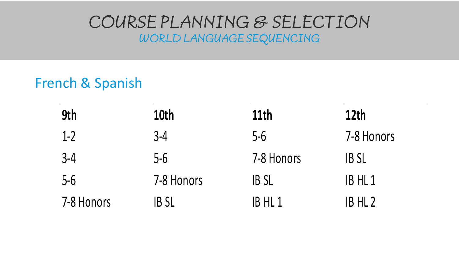## COURSE PLANNING & SELECTION WORLD LANGUAGE SEQUENCING

## French & Spanish

| 9th        | 10th        | 11th        | 12th               |
|------------|-------------|-------------|--------------------|
| $1-2$      | $3-4$       | $5-6$       | 7-8 Honors         |
| $3 - 4$    | $5-6$       | 7-8 Honors  | <b>IBSL</b>        |
| $5-6$      | 7-8 Honors  | <b>IBSL</b> | IB HL 1            |
| 7-8 Honors | <b>IBSL</b> | IB HL 1     | IB HL <sub>2</sub> |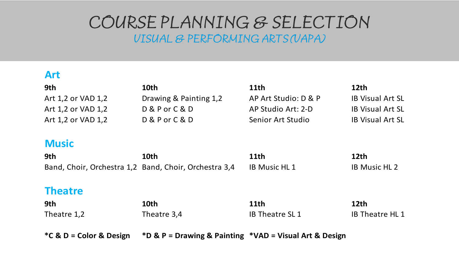## COURSE PLANNING & SELECTION

VISUAL & PERFORMING ARTS (VAPA)

#### **Art**

| 9th                                                   | 10th                   | 11th                 | 12 <sub>th</sub>        |
|-------------------------------------------------------|------------------------|----------------------|-------------------------|
| Art 1,2 or VAD 1,2                                    | Drawing & Painting 1,2 | AP Art Studio: D & P | <b>IB Visual Art SL</b> |
| Art 1,2 or VAD 1,2                                    | D & P or C & D         | AP Studio Art: 2-D   | <b>IB Visual Art SL</b> |
| Art 1,2 or VAD 1,2                                    | $D & P$ or $C & D$     | Senior Art Studio    | <b>IB Visual Art SL</b> |
|                                                       |                        |                      |                         |
| <b>Music</b>                                          |                        |                      |                         |
| 9th                                                   | 10th                   | 11th                 | 12th                    |
| Band, Choir, Orchestra 1,2 Band, Choir, Orchestra 3,4 |                        | <b>IB Music HL 1</b> | <b>IB Music HL 2</b>    |
|                                                       |                        |                      |                         |

#### **Theatre**

| 9th         | 10th        | 11th                  | 12th                   |
|-------------|-------------|-----------------------|------------------------|
| Theatre 1,2 | Theatre 3,4 | <b>IB Theatre SL1</b> | <b>IB Theatre HL 1</b> |
|             |             |                       |                        |

**\*C & D = Color & Design \*D & P = Drawing & Painting \*VAD = Visual Art & Design**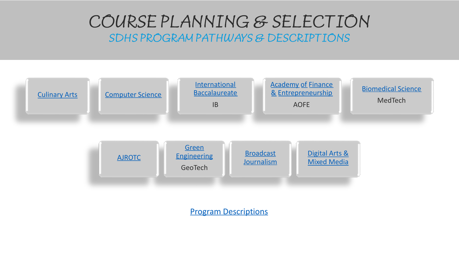## COURSE PLANNING & SELECTION SDHS PROGRAM PATHWAYS & DESCRIPTIONS



[Program Descriptions](https://5654a32e-d230-4f74-ad0e-7d3b4c509f25.filesusr.com/ugd/4d5590_f462df596d8c4cd2b63ca6a5a6536f70.pdf)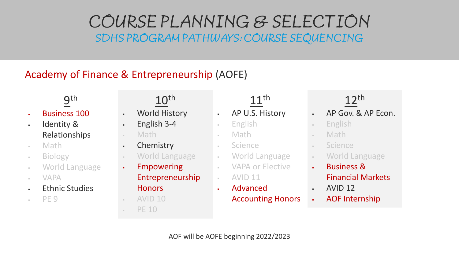#### Academy of Finance & Entrepreneurship (AOFE)

**9**th

- Business 100
- . Identity & Relationships
- Math
- Biology
- World Language
- VAPA
- Ethnic Studies
- PE 9

## $10<sup>th</sup>$

- World History
- $\cdot$  English 3-4
- Math
- Chemistry
- World Language
- Empowering
	- Entrepreneurship **Honors**
- $-$  AVID 10
- $-$  PE 10

## $11<sup>th</sup>$

- AP U.S. History
- English
- Math
- Science
- World Language
- VAPA or Elective
- $AVID 11$
- Advanced Accounting Honors

- . AP Gov. & AP Econ.
- English
- Math
- Science
- World Language
- Business & Financial Markets
- AVID 12
- AOF Internship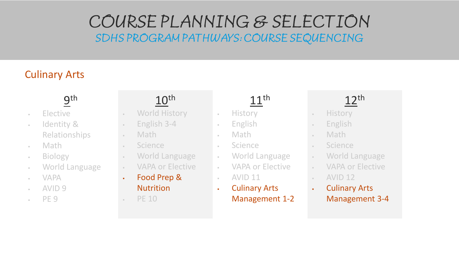#### Culinary Arts

## **9**th

- Elective
- Identity & Relationships
- Math
- Biology
- World Language
- VAPA
- AVID 9
- PE 9

## 10th

- World History
- $-$  English 3-4
- Math
- Science
- World Language
- VAPA or Elective
- Food Prep & **Nutrition**
- $\cdot$  PE 10

## 11th

- History
- English
- Math
- Science
- World Language
- VAPA or Elective
- $\sim$  AVID 11
- Culinary Arts Management 1-2

- . History
- . English
- Math
- Science
- World Language
- VAPA or Elective
- $-$  AVID 12
- Culinary Arts Management 3-4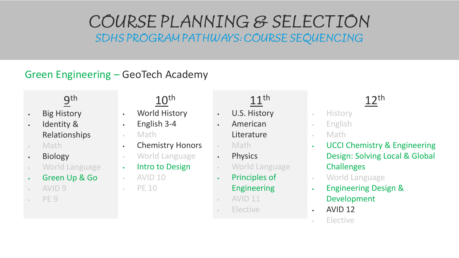#### Green Engineering – GeoTech Academy

## **9**th

- . Big History
- . Identity & Relationships
- Math
- . Biology
- World Language
- Green Up & Go
- AVID 9
- PE<sub>9</sub>

- World History
- $\cdot$  English 3-4
- Math
- Chemistry Honors

 $10<sup>th</sup>$ 

- World Language
- . Intro to Design
- $-$  AVID 10
- $\cdot$  PE 10

#### $11<sup>th</sup>$

- U.S. History
	- American Literature
- Math
- . Physics
- World Language
- Principles of Engineering
- AVID 11
- Elective

- **History**
- English
- Math
- UCCI Chemistry & Engineering Design: Solving Local & Global **Challenges**
- World Language
- Engineering Design & Development
- AVID 12
- Elective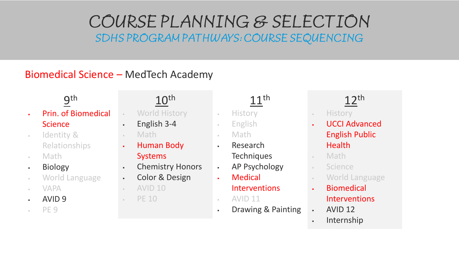#### Biomedical Science – MedTech Academy

**9**th

- Prin. of Biomedical **Science**
- Identity & Relationships
- Math
- . Biology
- World Language
- VAPA
- AVID 9
- PE 9

## $10<sup>th</sup>$

- World History
- $\cdot$  English 3-4
- Math
- . Human Body Systems
- Chemistry Honors
- Color & Design
- $-$  AVID 10
- PE 10

## $11<sup>th</sup>$

- History
- English
- Math
- Research **Techniques**
- AP Psychology
- Medical **Interventions**
- $-$  AVID 11
- . Drawing & Painting

- . History
- UCCI Advanced English Public **Health**
- Math
- Science
- World Language
- Biomedical Interventions
- AVID 12
- Internship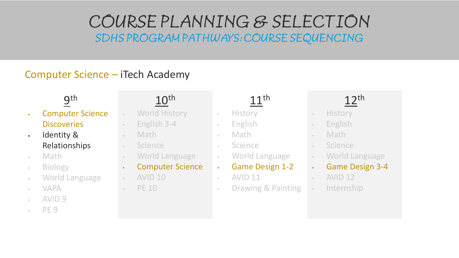#### Computer Science – iTech Academy

**9**th

- Computer Science **Discoveries**
- . Identity & Relationships
- Math
- Biology
- World Language
- VAPA
- $-$  AVID 9
- PE 9

## 10th

- World History
- $E$  English 3-4
- Math
- Science
- World Language
- Computer Science
- $-$  AVID 10
- $-$  PE 10

## 11th

- History
- English
- Math
- Science
- World Language
- Game Design 1-2
- $AVID 11$ 
	- Drawing & Painting

- . History
- English
- Math
- Science
- World Language
- Game Design 3-4
- $AVID 12$
- Internship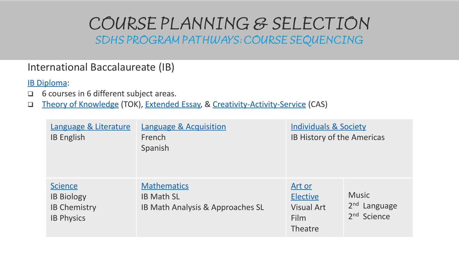#### International Baccalaureate (IB)

[IB Diploma](https://www.ibo.org/programmes/diploma-programme/):

- □ 6 courses in 6 different subject areas.
- □ [Theory of Knowledge](https://www.ibo.org/programmes/diploma-programme/curriculum/theory-of-knowledge/what-is-tok/) (TOK), [Extended Essay,](https://www.ibo.org/programmes/diploma-programme/curriculum/extended-essay/) & [Creativity-Activity-Service](https://www.ibo.org/programmes/diploma-programme/curriculum/creativity-activity-and-service/) (CAS)

| Language & Literature<br><b>IB English</b>                                      | <b>Language &amp; Acquisition</b><br>French<br>Spanish                      | <b>Individuals &amp; Society</b><br>IB History of the Americas           |                                                           |
|---------------------------------------------------------------------------------|-----------------------------------------------------------------------------|--------------------------------------------------------------------------|-----------------------------------------------------------|
| <b>Science</b><br><b>IB Biology</b><br><b>IB Chemistry</b><br><b>IB Physics</b> | <b>Mathematics</b><br><b>IB Math SL</b><br>IB Math Analysis & Approaches SL | <u>Art or</u><br><b>Elective</b><br><b>Visual Art</b><br>Film<br>Theatre | <b>Music</b><br>$2nd$ Language<br>2 <sup>nd</sup> Science |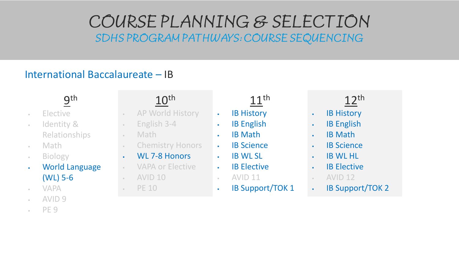#### International Baccalaureate – IB

**9**th

- Elective
- $\blacksquare$ Identity & Relationships
- Math
- Biology
- World Language (WL) 5-6
- VAPA
- $-$  AVID 9
- $-$  PE 9

#### 10th

- AP World History
- $E$  English 3-4
- Math
- Chemistry Honors
- WL 7-8 Honors
- VAPA or Elective
- AVID 10
- $\cdot$  PE 10

- . IB History
- . **IB English**
- . IB Math
- . **IB Science**
- . **IB WL SL**
- . IB Elective
- $-$  AVID 11
- . IB Support/TOK 1
- 12th
- . IB History
- . IB English
- . IB Math
- . **IB Science**
- . **IB WL HL**
- . IB Elective
- $-$  AVID 12
- . IB Support/TOK 2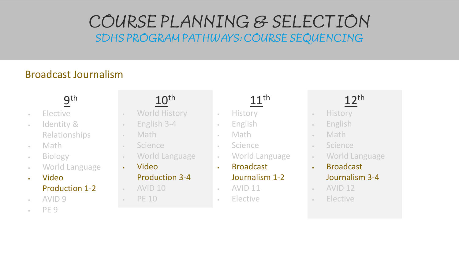#### Broadcast Journalism

## **9**th

- Elective
- Identity & Relationships
- Math
- Biology
- World Language
- Video Production 1-2
- $-$  AVID 9
- $-$  PE 9

## 10th

- World History
- $-$  English 3-4
- Math
- Science
- World Language
- Video

#### Production 3-4

- $-$  AVID 10
- $\cdot$  PE 10

## $11<sup>th</sup>$

- History
- English
- Math
- Science
- World Language
- Broadcast

#### Journalism 1-2

- $-$  AVID 11
	- Elective

- . History
- . English
- Math
- Science
- World Language
- Broadcast Journalism 3-4
- $-$  AVID 12
- Elective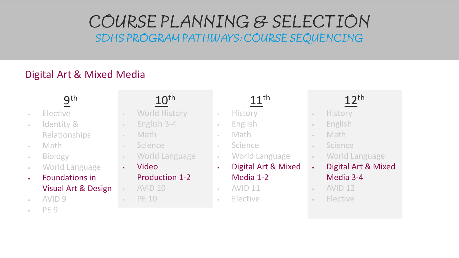#### Digital Art & Mixed Media

**9**th

- Elective
- Identity & Relationships
- Math
- Biology
- World Language
- Foundations in Visual Art & Design
- AVID 9
- PE 9

## 10th

- World History
- $-$  English 3-4
- Math
- Science
- World Language
- Video

#### Production 1-2

- AVID 10
- $\cdot$  PE 10

## $11<sup>th</sup>$

- History
- English
- Math
- Science
- World Language
- Digital Art & Mixed Media 1-2
- $-$  AVID 11
	- Elective

- . History
- English
- Math
- Science
- World Language
- Digital Art & Mixed Media 3-4
- $-$  AVID 12
- Elective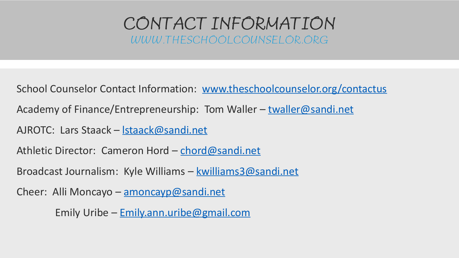## CONTACT INFORMATION WWW.THESCHOOLCOUNSELOR.ORG

School Counselor Contact Information: [www.theschoolcounselor.org/contactus](http://www.theschoolcounselor.org/contactus)

Academy of Finance/Entrepreneurship: Tom Waller – [twaller@sandi.net](mailto:twaller@sandi.net)

AJROTC: Lars Staack – [lstaack@sandi.net](mailto:lstaack@sandi.net)

Athletic Director: Cameron Hord – [chord@sandi.net](mailto:chord@sandi.net)

Broadcast Journalism: Kyle Williams – [kwilliams3@sandi.net](mailto:kwilliams3@sandi.net)

Cheer: Alli Moncayo –  $\frac{1}{2}$  moncayp@sandi.net

Emily Uribe – [Emily.ann.uribe@gmail.com](mailto:Emily.ann.uribe@gmail.com)